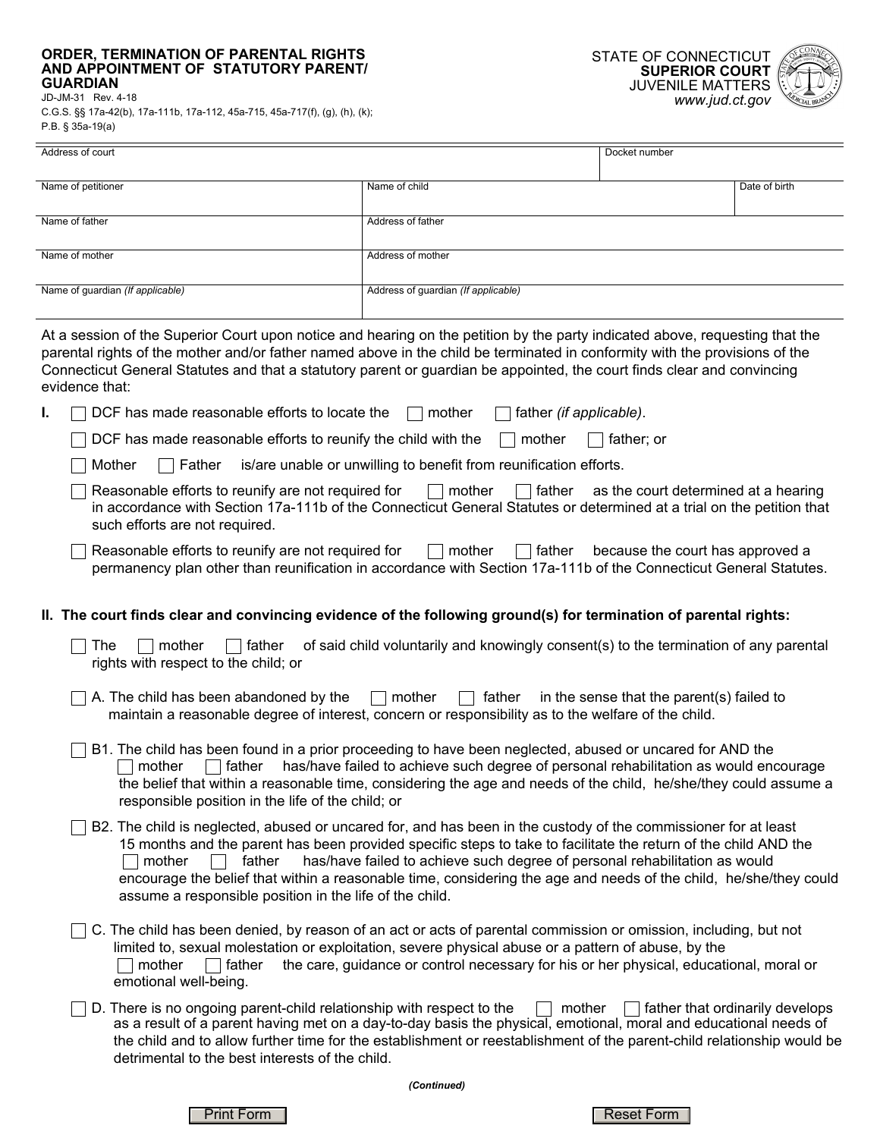## **ORDER, TERMINATION OF PARENTAL RIGHTS AND APPOINTMENT OF STATUTORY PARENT/ GUARDIAN**  JD-JM-31 Rev. 4-18

C.G.S. §§ 17a-42(b), 17a-111b, 17a-112, 45a-715, 45a-717(f), (g), (h), (k); P.B. § 35a-19(a)

L,

 $\overline{a}$ 



| Address of court                                                                                                                                                                                                                                                                                                                                                                                                                                                                                                     |                                                                                        | Docket number |                                 |  |
|----------------------------------------------------------------------------------------------------------------------------------------------------------------------------------------------------------------------------------------------------------------------------------------------------------------------------------------------------------------------------------------------------------------------------------------------------------------------------------------------------------------------|----------------------------------------------------------------------------------------|---------------|---------------------------------|--|
| Name of petitioner                                                                                                                                                                                                                                                                                                                                                                                                                                                                                                   | Name of child                                                                          |               | Date of birth                   |  |
| Name of father                                                                                                                                                                                                                                                                                                                                                                                                                                                                                                       | Address of father                                                                      |               |                                 |  |
| Name of mother                                                                                                                                                                                                                                                                                                                                                                                                                                                                                                       | Address of mother                                                                      |               |                                 |  |
| Name of guardian (If applicable)                                                                                                                                                                                                                                                                                                                                                                                                                                                                                     | Address of guardian (If applicable)                                                    |               |                                 |  |
|                                                                                                                                                                                                                                                                                                                                                                                                                                                                                                                      |                                                                                        |               |                                 |  |
| At a session of the Superior Court upon notice and hearing on the petition by the party indicated above, requesting that the<br>parental rights of the mother and/or father named above in the child be terminated in conformity with the provisions of the<br>Connecticut General Statutes and that a statutory parent or guardian be appointed, the court finds clear and convincing<br>evidence that:                                                                                                             |                                                                                        |               |                                 |  |
| DCF has made reasonable efforts to locate the<br>L                                                                                                                                                                                                                                                                                                                                                                                                                                                                   | father (if applicable).<br>mother                                                      |               |                                 |  |
| DCF has made reasonable efforts to reunify the child with the                                                                                                                                                                                                                                                                                                                                                                                                                                                        | mother                                                                                 | father; or    |                                 |  |
| is/are unable or unwilling to benefit from reunification efforts.<br>Mother<br>Father                                                                                                                                                                                                                                                                                                                                                                                                                                |                                                                                        |               |                                 |  |
| Reasonable efforts to reunify are not required for<br>$\Box$ mother<br>$\Box$ father<br>as the court determined at a hearing<br>in accordance with Section 17a-111b of the Connecticut General Statutes or determined at a trial on the petition that<br>such efforts are not required.                                                                                                                                                                                                                              |                                                                                        |               |                                 |  |
| Reasonable efforts to reunify are not required for<br>$\Box$ mother<br>$\Box$ father<br>because the court has approved a<br>permanency plan other than reunification in accordance with Section 17a-111b of the Connecticut General Statutes.                                                                                                                                                                                                                                                                        |                                                                                        |               |                                 |  |
| II. The court finds clear and convincing evidence of the following ground(s) for termination of parental rights:                                                                                                                                                                                                                                                                                                                                                                                                     |                                                                                        |               |                                 |  |
| of said child voluntarily and knowingly consent(s) to the termination of any parental<br>The<br>mother<br>father<br>rights with respect to the child; or                                                                                                                                                                                                                                                                                                                                                             |                                                                                        |               |                                 |  |
| A. The child has been abandoned by the<br>$\Box$ mother<br>father<br>in the sense that the parent(s) failed to<br>maintain a reasonable degree of interest, concern or responsibility as to the welfare of the child.                                                                                                                                                                                                                                                                                                |                                                                                        |               |                                 |  |
| B1. The child has been found in a prior proceeding to have been neglected, abused or uncared for AND the<br>has/have failed to achieve such degree of personal rehabilitation as would encourage<br>mother<br>father<br>the belief that within a reasonable time, considering the age and needs of the child, he/she/they could assume a<br>responsible position in the life of the child; or                                                                                                                        |                                                                                        |               |                                 |  |
| B2. The child is neglected, abused or uncared for, and has been in the custody of the commissioner for at least<br>15 months and the parent has been provided specific steps to take to facilitate the return of the child AND the<br>has/have failed to achieve such degree of personal rehabilitation as would<br>mother<br>father<br>encourage the belief that within a reasonable time, considering the age and needs of the child, he/she/they could<br>assume a responsible position in the life of the child. |                                                                                        |               |                                 |  |
| C. The child has been denied, by reason of an act or acts of parental commission or omission, including, but not<br>limited to, sexual molestation or exploitation, severe physical abuse or a pattern of abuse, by the<br>mother<br>father<br>emotional well-being.                                                                                                                                                                                                                                                 | the care, guidance or control necessary for his or her physical, educational, moral or |               |                                 |  |
| D. There is no ongoing parent-child relationship with respect to the<br>as a result of a parent having met on a day-to-day basis the physical, emotional, moral and educational needs of<br>the child and to allow further time for the establishment or reestablishment of the parent-child relationship would be<br>detrimental to the best interests of the child.                                                                                                                                                | mother                                                                                 |               | father that ordinarily develops |  |
| (Continued)                                                                                                                                                                                                                                                                                                                                                                                                                                                                                                          |                                                                                        |               |                                 |  |

Print Form Neset Form Neset Form Neset Form Neset Form Neset Form Neset Form Neset Form Neset Form Neset Form Neset Form Neset Form Neset Form Neset Form Neset Form Neset Form Neset Form Neset Form Neset Form Neset Form Ne